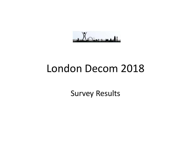$\chi_{\text{other}}$ ΔΙ.

#### London Decom 2018

Survey Results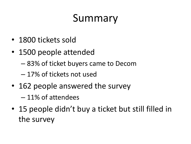# Summary

- 1800 tickets sold
- 1500 people attended
	- 83% of ticket buyers came to Decom
	- 17% of tickets not used
- 162 people answered the survey
	- 11% of attendees
- 15 people didn't buy a ticket but still filled in the survey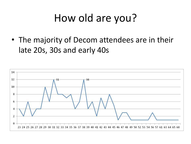# How old are you?

• The majority of Decom attendees are in their late 20s, 30s and early 40s

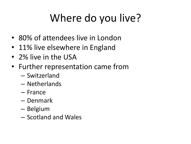# Where do you live?

- 80% of attendees live in London
- 11% live elsewhere in England
- 2% live in the USA
- Further representation came from
	- Switzerland
	- Netherlands
	- France
	- Denmark
	- Belgium
	- Scotland and Wales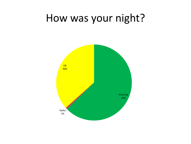### How was your night?

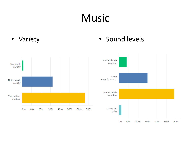# Music



0%

10%

20%

30%

40%

50%

60%

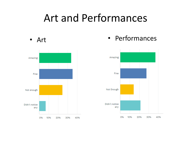#### Art and Performances



• Art • Performances

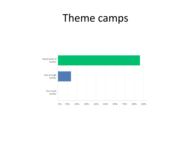#### Theme camps

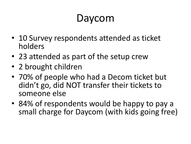# Daycom

- 10 Survey respondents attended as ticket holders
- 23 attended as part of the setup crew
- 2 brought children
- 70% of people who had a Decom ticket but didn't go, did NOT transfer their tickets to someone else
- 84% of respondents would be happy to pay a small charge for Daycom (with kids going free)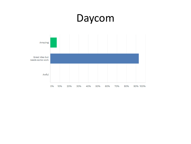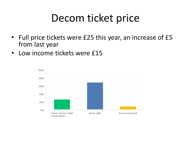## Decom ticket price

- Full price tickets were £25 this year, an increase of £5 from last year
- Low income tickets were £15

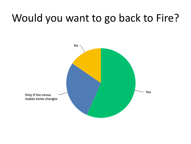## Would you want to go back to Fire?

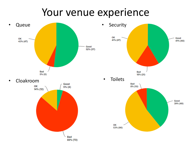#### Your venue experience

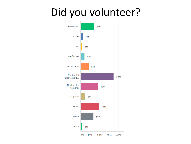## Did you volunteer?

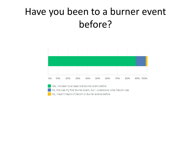#### Have you been to a burner event before?